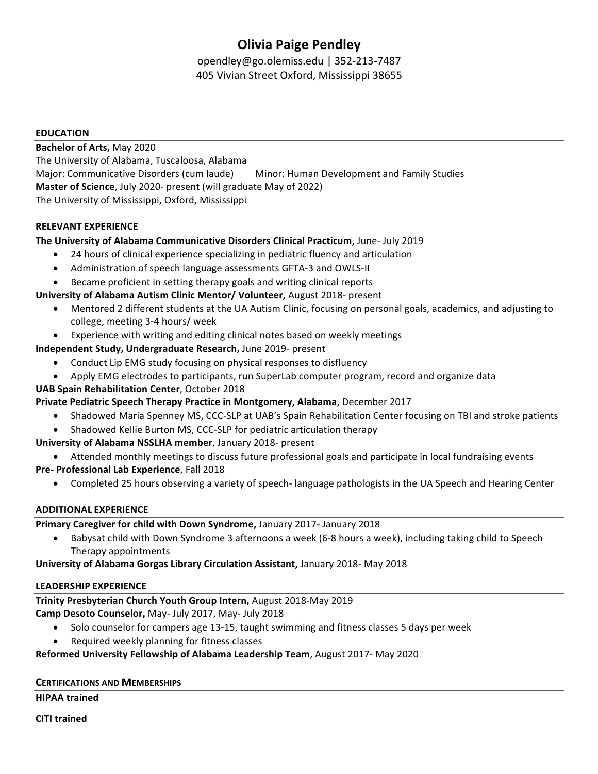# **Olivia Paige Pendley**

opendley@go.olemiss.edu | 352-213-7487 405 Vivian Street Oxford, Mississippi 38655

### **EDUCATION**

**Bachelor of Arts,** May 2020 The University of Alabama, Tuscaloosa, Alabama Major: Communicative Disorders (cum laude) Minor: Human Development and Family Studies **Master of Science**, July 2020- present (will graduate May of 2022) The University of Mississippi, Oxford, Mississippi

### **RELEVANT EXPERIENCE**

### **The University of Alabama Communicative Disorders Clinical Practicum, June- July 2019**

- 24 hours of clinical experience specializing in pediatric fluency and articulation
- Administration of speech language assessments GFTA-3 and OWLS-II
- Became proficient in setting therapy goals and writing clinical reports

### **University of Alabama Autism Clinic Mentor/ Volunteer, August 2018- present**

- Mentored 2 different students at the UA Autism Clinic, focusing on personal goals, academics, and adjusting to college, meeting 3-4 hours/ week
- Experience with writing and editing clinical notes based on weekly meetings
- **Independent Study, Undergraduate Research, June 2019- present** 
	- Conduct Lip EMG study focusing on physical responses to disfluency
	- Apply EMG electrodes to participants, run SuperLab computer program, record and organize data

### **UAB Spain Rehabilitation Center**, October 2018

**Private Pediatric Speech Therapy Practice in Montgomery, Alabama**, December 2017

- Shadowed Maria Spenney MS, CCC-SLP at UAB's Spain Rehabilitation Center focusing on TBI and stroke patients
- Shadowed Kellie Burton MS, CCC-SLP for pediatric articulation therapy

**University of Alabama NSSLHA member, January 2018- present** 

• Attended monthly meetings to discuss future professional goals and participate in local fundraising events

- **Pre- Professional Lab Experience**, Fall 2018
	- Completed 25 hours observing a variety of speech- language pathologists in the UA Speech and Hearing Center

### **ADDITIONAL EXPERIENCE**

**Primary Caregiver for child with Down Syndrome, January 2017- January 2018** 

Babysat child with Down Syndrome 3 afternoons a week (6-8 hours a week), including taking child to Speech Therapy appointments

**University of Alabama Gorgas Library Circulation Assistant, January 2018- May 2018** 

### LEADERSHIP EXPERIENCE

### **Trinity Presbyterian Church Youth Group Intern, August 2018-May 2019**

**Camp Desoto Counselor, May- July 2017, May- July 2018** 

- Solo counselor for campers age 13-15, taught swimming and fitness classes 5 days per week
- Required weekly planning for fitness classes

# **Reformed University Fellowship of Alabama Leadership Team**, August 2017- May 2020

# **CERTIFICATIONS AND MEMBERSHIPS**

**HIPAA trained** 

**CITI trained**